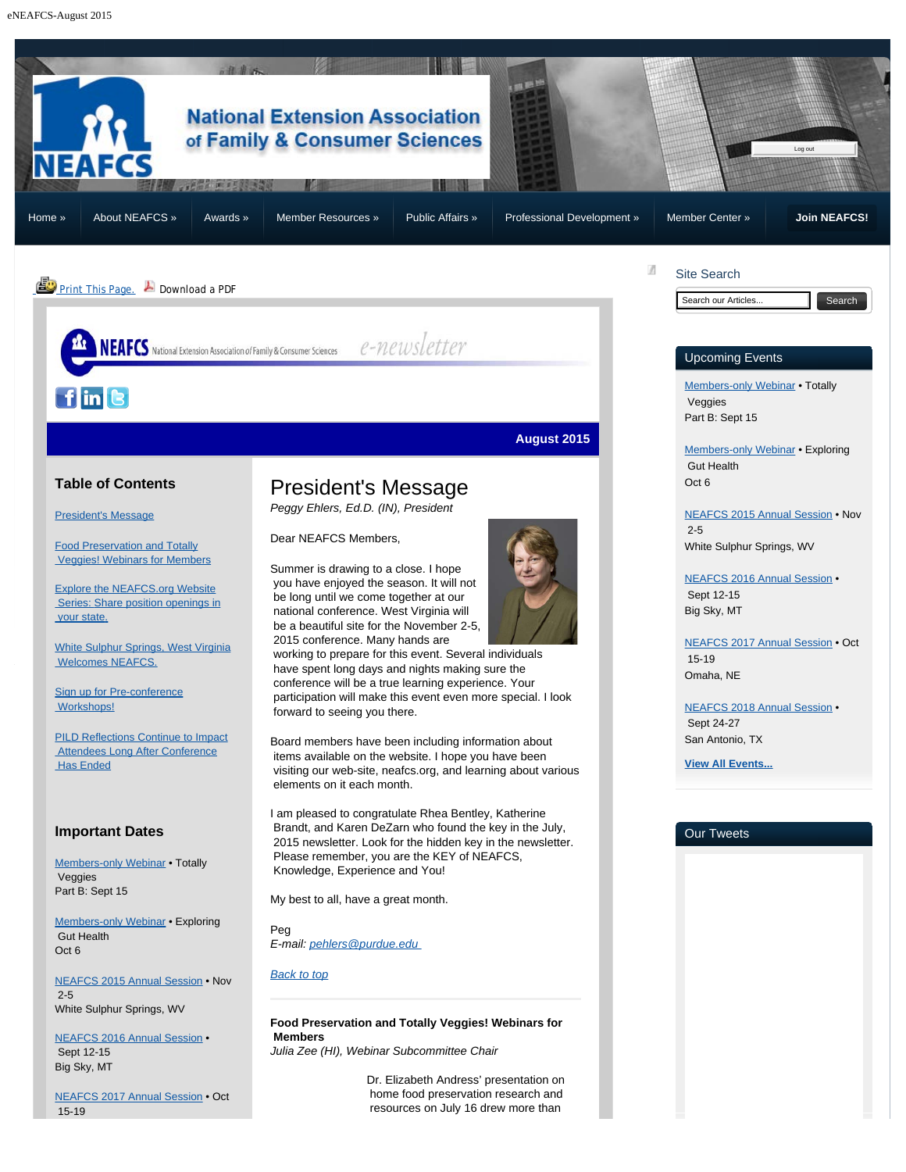<span id="page-0-2"></span><span id="page-0-1"></span><span id="page-0-0"></span>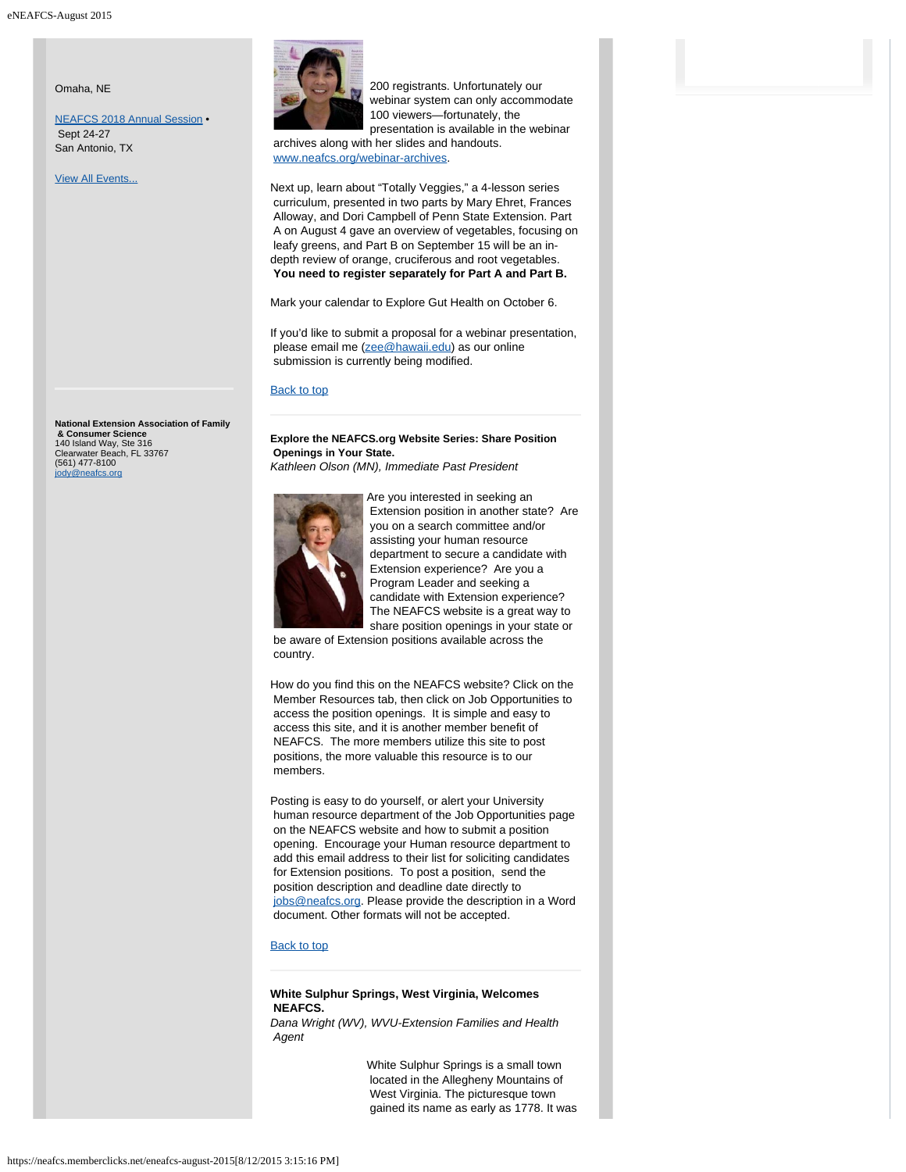Omaha, NE

[NEAFCS 2018 Annual Session](https://neafcs.memberclicks.net/index.php?option=com_mc&view=mc&mcid=9) • Sept 24-27 San Antonio, TX

**[View All Events...](https://neafcs.memberclicks.net/index.php?option=com_mc&view=mc&mcid=9)** 

<span id="page-1-0"></span>**National Extension Association of Family & Consumer Science** 140 Island Way, Ste 316 Clearwater Beach, FL 33767 (561) 477-8100 [jody@neafcs.org](mailto:jody@neafcs.org)



 200 registrants. Unfortunately our webinar system can only accommodate 100 viewers—fortunately, the presentation is available in the webinar

 archives along with her slides and handouts. [www.neafcs.org/webinar-archives](http://www.neafcs.org/webinar-archives).

Next up, learn about "Totally Veggies," a 4-lesson series curriculum, presented in two parts by Mary Ehret, Frances Alloway, and Dori Campbell of Penn State Extension. Part A on August 4 gave an overview of vegetables, focusing on leafy greens, and Part B on September 15 will be an indepth review of orange, cruciferous and root vegetables. **You need to register separately for Part A and Part B.**

Mark your calendar to Explore Gut Health on October 6.

If you'd like to submit a proposal for a webinar presentation, please email me ([zee@hawaii.edu\)](mailto:zee@hawaii.edu) as our online submission is currently being modified.

### [Back to top](#page-0-0)

**Explore the NEAFCS.org Website Series: Share Position Openings in Your State.**

*Kathleen Olson (MN), Immediate Past President*



Are you interested in seeking an Extension position in another state? Are you on a search committee and/or assisting your human resource department to secure a candidate with Extension experience? Are you a Program Leader and seeking a candidate with Extension experience? The NEAFCS website is a great way to share position openings in your state or

 be aware of Extension positions available across the country.

How do you find this on the NEAFCS website? Click on the Member Resources tab, then click on Job Opportunities to access the position openings. It is simple and easy to access this site, and it is another member benefit of NEAFCS. The more members utilize this site to post positions, the more valuable this resource is to our members.

Posting is easy to do yourself, or alert your University human resource department of the Job Opportunities page on the NEAFCS website and how to submit a position opening. Encourage your Human resource department to add this email address to their list for soliciting candidates for Extension positions. To post a position, send the position description and deadline date directly to [jobs@neafcs.org.](mailto:jobs@neafcs.org) Please provide the description in a Word document. Other formats will not be accepted.

#### [Back to top](#page-0-0)

# **White Sulphur Springs, West Virginia, Welcomes NEAFCS.**

<span id="page-1-1"></span>*Dana Wright (WV), WVU-Extension Families and Health Agent*

> White Sulphur Springs is a small town located in the Allegheny Mountains of West Virginia. The picturesque town gained its name as early as 1778. It was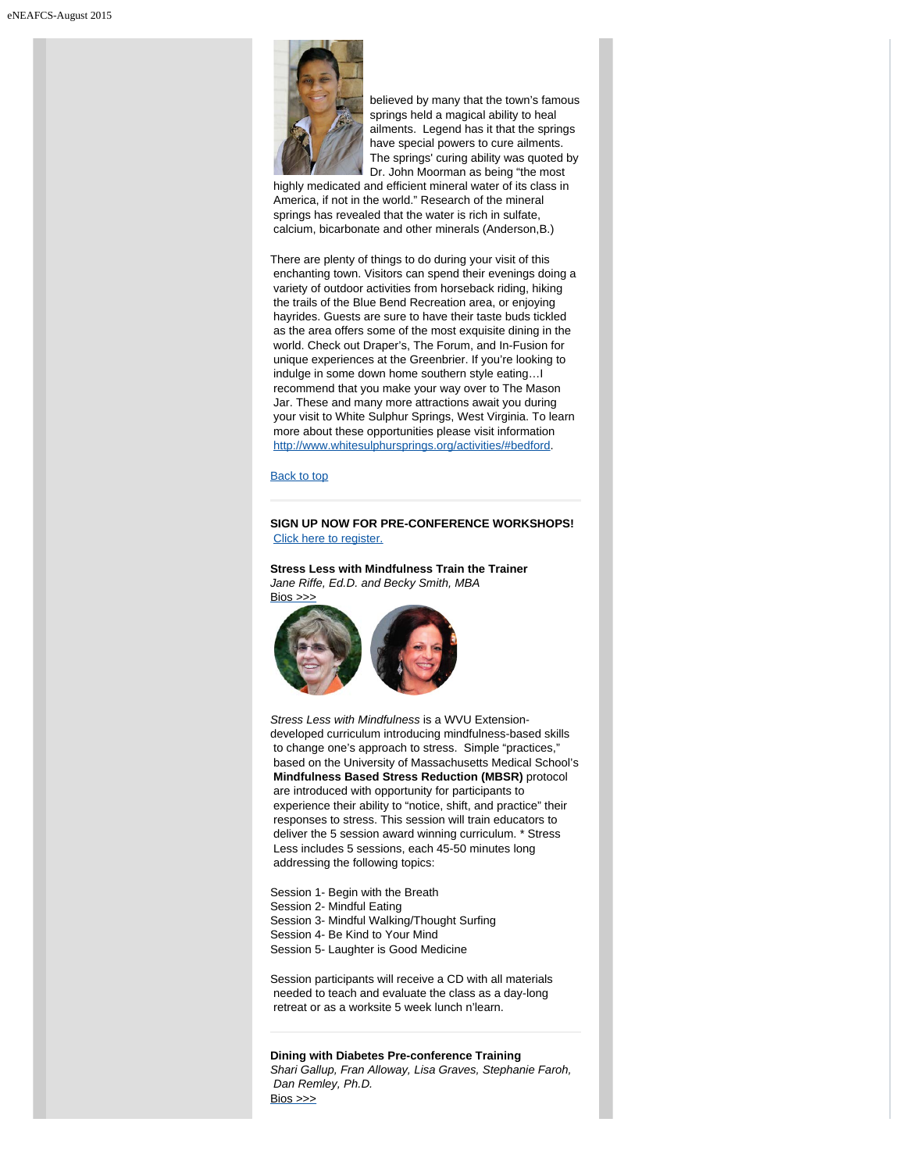

 believed by many that the town's famous springs held a magical ability to heal ailments. Legend has it that the springs have special powers to cure ailments. The springs' curing ability was quoted by Dr. John Moorman as being "the most

 highly medicated and efficient mineral water of its class in America, if not in the world." Research of the mineral springs has revealed that the water is rich in sulfate, calcium, bicarbonate and other minerals (Anderson,B.)

There are plenty of things to do during your visit of this enchanting town. Visitors can spend their evenings doing a variety of outdoor activities from horseback riding, hiking the trails of the Blue Bend Recreation area, or enjoying hayrides. Guests are sure to have their taste buds tickled as the area offers some of the most exquisite dining in the world. Check out Draper's, The Forum, and In-Fusion for unique experiences at the Greenbrier. If you're looking to indulge in some down home southern style eating…I recommend that you make your way over to The Mason Jar. These and many more attractions await you during your visit to White Sulphur Springs, West Virginia. To learn more about these opportunities please visit information <http://www.whitesulphursprings.org/activities/#bedford>.

#### [Back to top](#page-0-0)

# <span id="page-2-0"></span>**SIGN UP NOW FOR PRE-CONFERENCE WORKSHOPS!** [Click here to register.](https://neafcs.memberclicks.net/index.php?option=com_mc&view=mc&mcid=form_197340)

**Stress Less with Mindfulness Train the Trainer** *Jane Riffe, Ed.D. and Becky Smith, MBA*  $Bios \n>>\n$ 



*Stress Less with Mindfulness* is a WVU Extensiondeveloped curriculum introducing mindfulness-based skills to change one's approach to stress. Simple "practices," based on the University of Massachusetts Medical School's **Mindfulness Based Stress Reduction (MBSR)** protocol are introduced with opportunity for participants to experience their ability to "notice, shift, and practice" their responses to stress. This session will train educators to deliver the 5 session award winning curriculum. \* Stress Less includes 5 sessions, each 45-50 minutes long addressing the following topics:

Session 1- Begin with the Breath Session 2- Mindful Eating Session 3- Mindful Walking/Thought Surfing Session 4- Be Kind to Your Mind Session 5- Laughter is Good Medicine

Session participants will receive a CD with all materials needed to teach and evaluate the class as a day-long retreat or as a worksite 5 week lunch n'learn.

**Dining with Diabetes Pre-conference Training** *Shari Gallup, Fran Alloway, Lisa Graves, Stephanie Faroh, Dan Remley, Ph.D.* [Bios >>>](https://neafcs.memberclicks.net/2015-speaker-bios)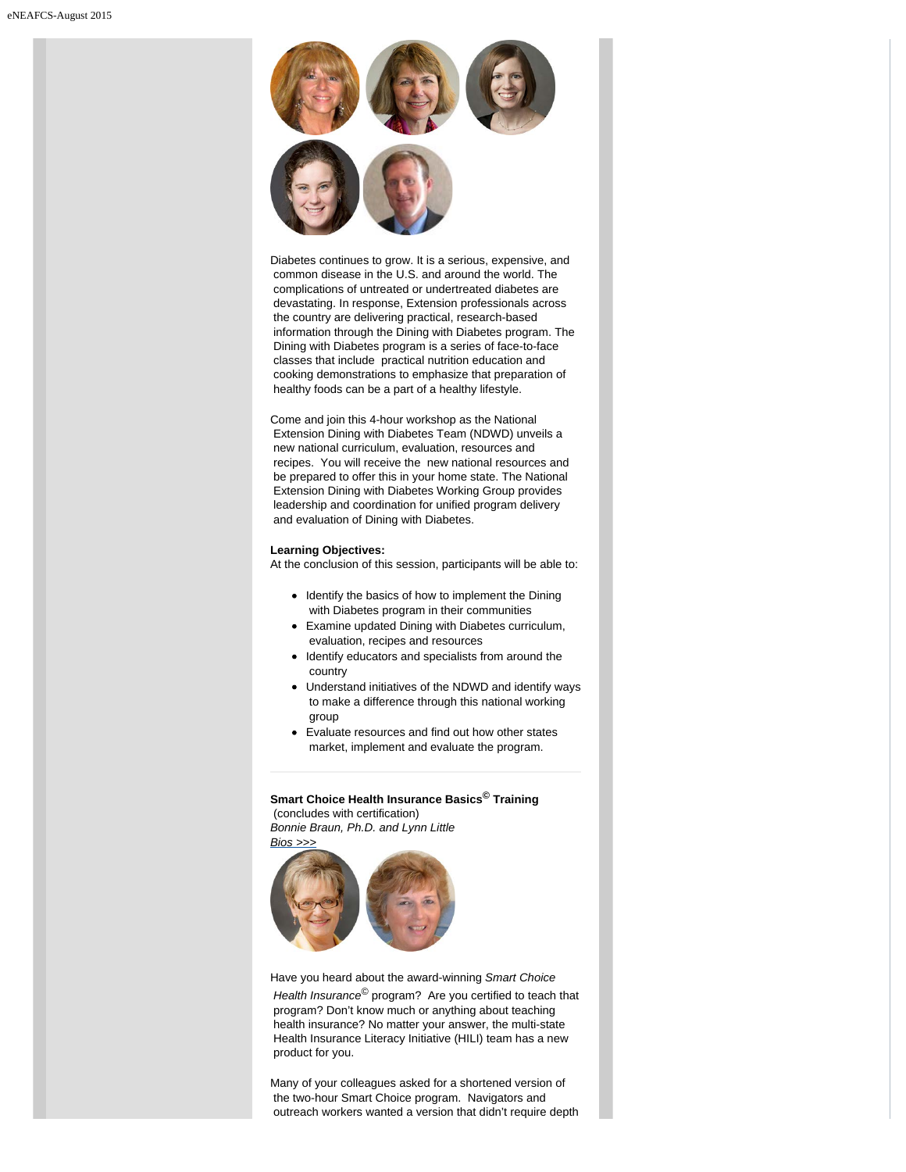

Diabetes continues to grow. It is a serious, expensive, and common disease in the U.S. and around the world. The complications of untreated or undertreated diabetes are devastating. In response, Extension professionals across the country are delivering practical, research-based information through the Dining with Diabetes program. The Dining with Diabetes program is a series of face-to-face classes that include practical nutrition education and cooking demonstrations to emphasize that preparation of healthy foods can be a part of a healthy lifestyle.

Come and join this 4-hour workshop as the National Extension Dining with Diabetes Team (NDWD) unveils a new national curriculum, evaluation, resources and recipes. You will receive the new national resources and be prepared to offer this in your home state. The National Extension Dining with Diabetes Working Group provides leadership and coordination for unified program delivery and evaluation of Dining with Diabetes.

#### **Learning Objectives:**

At the conclusion of this session, participants will be able to:

- Identify the basics of how to implement the Dining with Diabetes program in their communities
- Examine updated Dining with Diabetes curriculum,  $\bullet$ evaluation, recipes and resources
- Identify educators and specialists from around the  $\bullet$ country
- Understand initiatives of the NDWD and identify ways  $\bullet$  to make a difference through this national working group
- Evaluate resources and find out how other states market, implement and evaluate the program.

**Smart Choice Health Insurance Basics© Training** (concludes with certification) *Bonnie Braun, Ph.D. and Lynn Little*



Have you heard about the award-winning *Smart Choice Health Insurance*© program? Are you certified to teach that program? Don't know much or anything about teaching health insurance? No matter your answer, the multi-state Health Insurance Literacy Initiative (HILI) team has a new product for you.

Many of your colleagues asked for a shortened version of the two-hour Smart Choice program. Navigators and outreach workers wanted a version that didn't require depth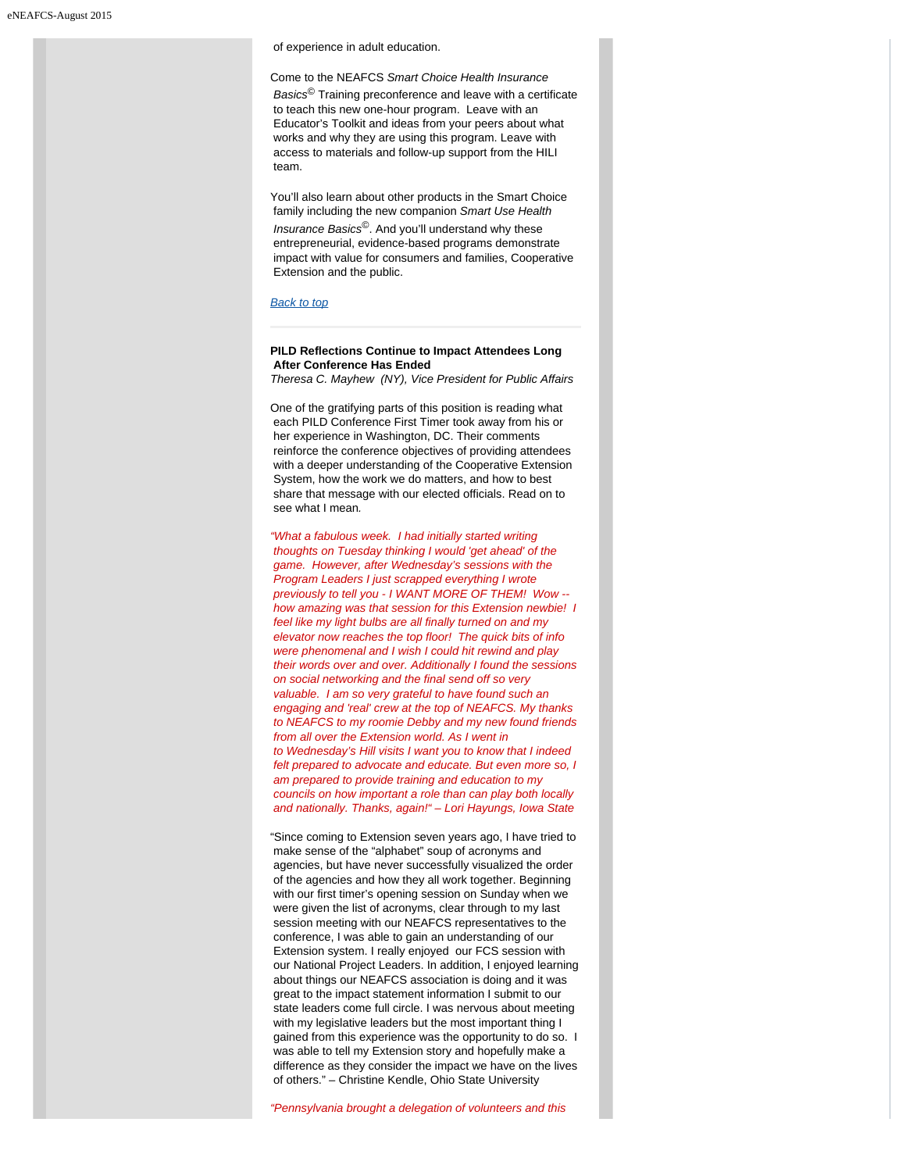of experience in adult education.

Come to the NEAFCS *Smart Choice Health Insurance Basics*© Training preconference and leave with a certificate to teach this new one-hour program. Leave with an Educator's Toolkit and ideas from your peers about what works and why they are using this program. Leave with access to materials and follow-up support from the HILI team.

You'll also learn about other products in the Smart Choice family including the new companion *Smart Use Health Insurance Basics*©. And you'll understand why these entrepreneurial, evidence-based programs demonstrate impact with value for consumers and families, Cooperative Extension and the public.

#### *[Back to top](#page-0-0)*

# <span id="page-4-0"></span>**PILD Reflections Continue to Impact Attendees Long After Conference Has Ended**

*Theresa C. Mayhew (NY), Vice President for Public Affairs*

One of the gratifying parts of this position is reading what each PILD Conference First Timer took away from his or her experience in Washington, DC. Their comments reinforce the conference objectives of providing attendees with a deeper understanding of the Cooperative Extension System, how the work we do matters, and how to best share that message with our elected officials. Read on to see what I mean*.*

*"What a fabulous week. I had initially started writing thoughts on Tuesday thinking I would 'get ahead' of the game. However, after Wednesday's sessions with the Program Leaders I just scrapped everything I wrote previously to tell you - I WANT MORE OF THEM! Wow - how amazing was that session for this Extension newbie! I feel like my light bulbs are all finally turned on and my elevator now reaches the top floor! The quick bits of info were phenomenal and I wish I could hit rewind and play their words over and over. Additionally I found the sessions on social networking and the final send off so very valuable. I am so very grateful to have found such an engaging and 'real' crew at the top of NEAFCS. My thanks to NEAFCS to my roomie Debby and my new found friends from all over the Extension world. As I went in to Wednesday's Hill visits I want you to know that I indeed felt prepared to advocate and educate. But even more so, I am prepared to provide training and education to my councils on how important a role than can play both locally and nationally. Thanks, again!" – Lori Hayungs, Iowa State*

"Since coming to Extension seven years ago, I have tried to make sense of the "alphabet" soup of acronyms and agencies, but have never successfully visualized the order of the agencies and how they all work together. Beginning with our first timer's opening session on Sunday when we were given the list of acronyms, clear through to my last session meeting with our NEAFCS representatives to the conference, I was able to gain an understanding of our Extension system. I really enjoyed our FCS session with our National Project Leaders. In addition, I enjoyed learning about things our NEAFCS association is doing and it was great to the impact statement information I submit to our state leaders come full circle. I was nervous about meeting with my legislative leaders but the most important thing I gained from this experience was the opportunity to do so. I was able to tell my Extension story and hopefully make a difference as they consider the impact we have on the lives of others." – Christine Kendle, Ohio State University

*"Pennsylvania brought a delegation of volunteers and this*